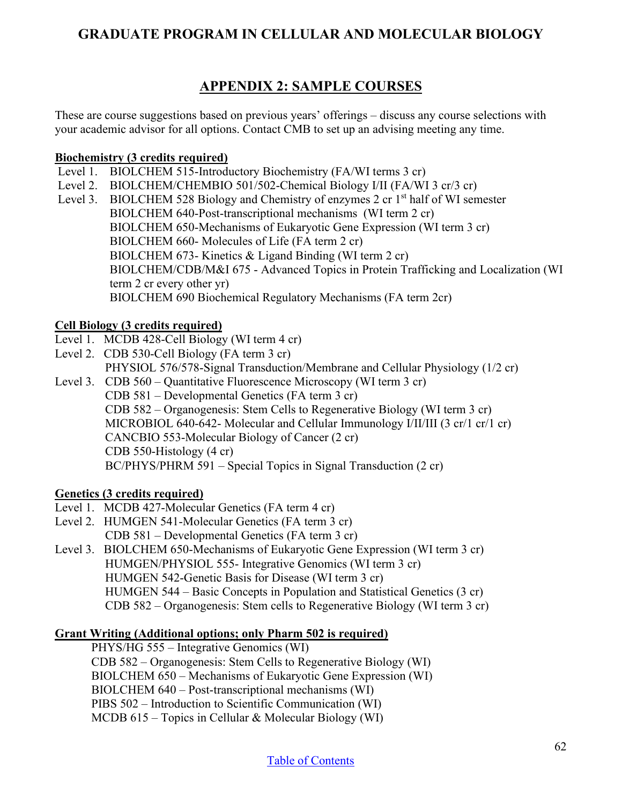# **GRADUATE PROGRAM IN CELLULAR AND MOLECULAR BIOLOGY**

# **APPENDIX 2: SAMPLE COURSES**

These are course suggestions based on previous years' offerings – discuss any course selections with your academic advisor for all options. Contact CMB to set up an advising meeting any time.

## **Biochemistry (3 credits required)**

- Level 1. BIOLCHEM 515-Introductory Biochemistry (FA/WI terms 3 cr)
- Level 2. BIOLCHEM/CHEMBIO 501/502-Chemical Biology I/II (FA/WI 3 cr/3 cr)
- Level 3. BIOLCHEM 528 Biology and Chemistry of enzymes 2 cr 1<sup>st</sup> half of WI semester BIOLCHEM 640-Post-transcriptional mechanisms (WI term 2 cr) BIOLCHEM 650-Mechanisms of Eukaryotic Gene Expression (WI term 3 cr) BIOLCHEM 660- Molecules of Life (FA term 2 cr) BIOLCHEM 673- Kinetics & Ligand Binding (WI term 2 cr) BIOLCHEM/CDB/M&I 675 - Advanced Topics in Protein Trafficking and Localization (WI term 2 cr every other yr) BIOLCHEM 690 Biochemical Regulatory Mechanisms (FA term 2cr)

## **Cell Biology (3 credits required)**

- Level 1. MCDB 428-Cell Biology (WI term 4 cr)
- Level 2. CDB 530-Cell Biology (FA term 3 cr)
- PHYSIOL 576/578-Signal Transduction/Membrane and Cellular Physiology (1/2 cr)
- Level 3. CDB 560 Quantitative Fluorescence Microscopy (WI term 3 cr) CDB 581 – Developmental Genetics (FA term 3 cr) CDB 582 – Organogenesis: Stem Cells to Regenerative Biology (WI term 3 cr) MICROBIOL 640-642- Molecular and Cellular Immunology I/II/III (3 cr/1 cr/1 cr) CANCBIO 553-Molecular Biology of Cancer (2 cr) CDB 550-Histology (4 cr) BC/PHYS/PHRM 591 – Special Topics in Signal Transduction (2 cr)

## **Genetics (3 credits required)**

- Level 1. MCDB 427-Molecular Genetics (FA term 4 cr)
- Level 2. HUMGEN 541-Molecular Genetics (FA term 3 cr) CDB 581 – Developmental Genetics (FA term 3 cr)
- Level 3. BIOLCHEM 650-Mechanisms of Eukaryotic Gene Expression (WI term 3 cr) HUMGEN/PHYSIOL 555- Integrative Genomics (WI term 3 cr) HUMGEN 542-Genetic Basis for Disease (WI term 3 cr) HUMGEN 544 – Basic Concepts in Population and Statistical Genetics (3 cr) CDB 582 – Organogenesis: Stem cells to Regenerative Biology (WI term 3 cr)

## **Grant Writing (Additional options; only Pharm 502 is required)**

PHYS/HG 555 – Integrative Genomics (WI) CDB 582 – Organogenesis: Stem Cells to Regenerative Biology (WI) BIOLCHEM 650 – Mechanisms of Eukaryotic Gene Expression (WI) BIOLCHEM 640 – Post-transcriptional mechanisms (WI) PIBS 502 – Introduction to Scientific Communication (WI) MCDB 615 – Topics in Cellular & Molecular Biology (WI)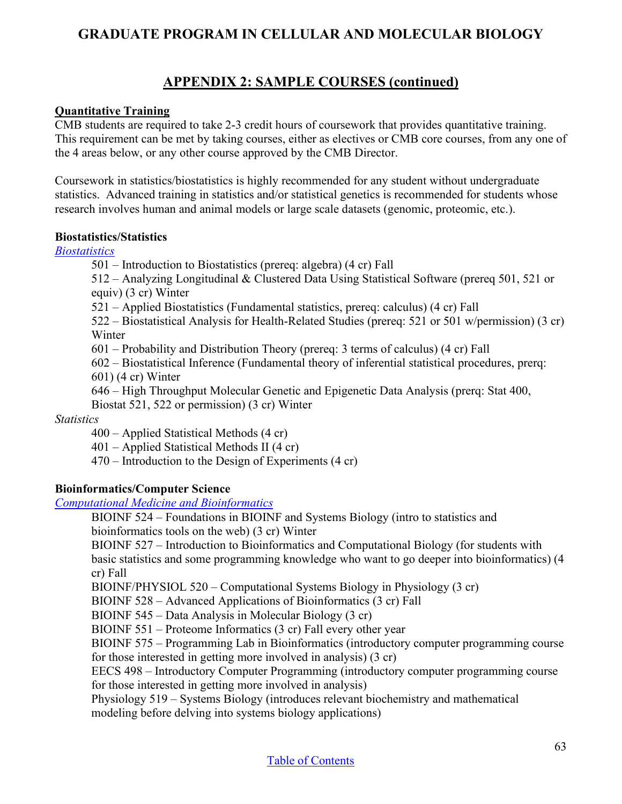# **GRADUATE PROGRAM IN CELLULAR AND MOLECULAR BIOLOGY**

# **APPENDIX 2: SAMPLE COURSES (continued)**

### **Quantitative Training**

CMB students are required to take 2-3 credit hours of coursework that provides quantitative training. This requirement can be met by taking courses, either as electives or CMB core courses, from any one of the 4 areas below, or any other course approved by the CMB Director.

Coursework in statistics/biostatistics is highly recommended for any student without undergraduate statistics. Advanced training in statistics and/or statistical genetics is recommended for students whose research involves human and animal models or large scale datasets (genomic, proteomic, etc.).

#### **Biostatistics/Statistics**

#### *[Biostatistics](https://sph.umich.edu/biostat/courses.php)*

501 – Introduction to Biostatistics (prereq: algebra) (4 cr) Fall

512 – Analyzing Longitudinal & Clustered Data Using Statistical Software (prereq 501, 521 or equiv) (3 cr) Winter

521 – Applied Biostatistics (Fundamental statistics, prereq: calculus) (4 cr) Fall

522 – Biostatistical Analysis for Health-Related Studies (prereq: 521 or 501 w/permission) (3 cr) Winter

601 – Probability and Distribution Theory (prereq: 3 terms of calculus) (4 cr) Fall

602 – Biostatistical Inference (Fundamental theory of inferential statistical procedures, prerq: 601) (4 cr) Winter

646 – High Throughput Molecular Genetic and Epigenetic Data Analysis (prerq: Stat 400, Biostat 521, 522 or permission) (3 cr) Winter

### *Statistics*

400 – Applied Statistical Methods (4 cr)

401 – Applied Statistical Methods II (4 cr)

470 – Introduction to the Design of Experiments (4 cr)

### **Bioinformatics/Computer Science**

*[Computational Medicine and Bioinformatics](https://medicine.umich.edu/dept/computational-medicine-bioinformatics/graduate-program/courses)*

BIOINF 524 – Foundations in BIOINF and Systems Biology (intro to statistics and bioinformatics tools on the web) (3 cr) Winter

BIOINF 527 – Introduction to Bioinformatics and Computational Biology (for students with basic statistics and some programming knowledge who want to go deeper into bioinformatics) (4 cr) Fall

BIOINF/PHYSIOL 520 – Computational Systems Biology in Physiology (3 cr)

BIOINF 528 – Advanced Applications of Bioinformatics (3 cr) Fall

BIOINF 545 – Data Analysis in Molecular Biology (3 cr)

BIOINF 551 – Proteome Informatics (3 cr) Fall every other year

BIOINF 575 – Programming Lab in Bioinformatics (introductory computer programming course for those interested in getting more involved in analysis) (3 cr)

EECS 498 – Introductory Computer Programming (introductory computer programming course for those interested in getting more involved in analysis)

Physiology 519 – Systems Biology (introduces relevant biochemistry and mathematical modeling before delving into systems biology applications)